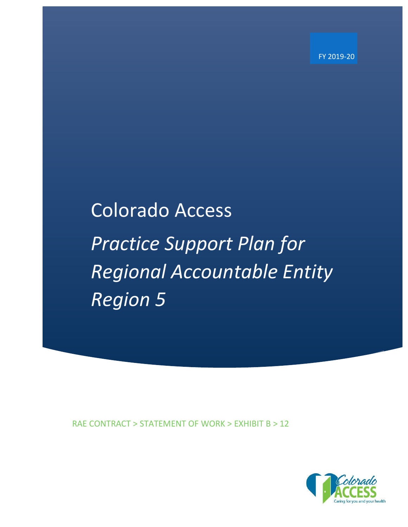FY 2019-20

# Colorado Access *Practice Support Plan for Regional Accountable Entity Region 5*

RAE CONTRACT > STATEMENT OF WORK > EXHIBIT B > 12

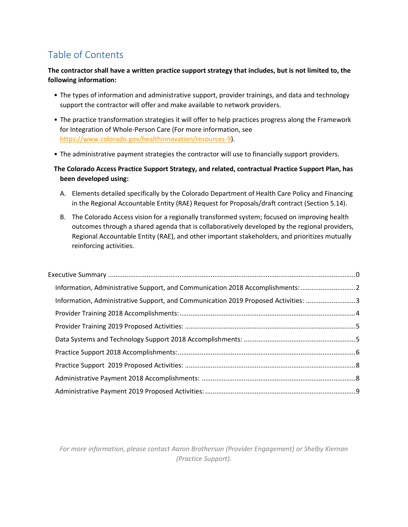# Table of Contents

#### **The contractor shall have a written practice support strategy that includes, but is not limited to, the following information:**

- The types of information and administrative support, provider trainings, and data and technology support the contractor will offer and make available to network providers.
- The practice transformation strategies it will offer to help practices progress along the Framework for Integration of Whole-Person Care (For more information, see [https://www.colorado.gov/healthinnovation/resources-9\)](https://www.colorado.gov/healthinnovation/resources-9).
- The administrative payment strategies the contractor will use to financially support providers.

#### **The Colorado Access Practice Support Strategy, and related, contractual Practice Support Plan, has been developed using:**

- A. Elements detailed specifically by the Colorado Department of Health Care Policy and Financing in the Regional Accountable Entity (RAE) Request for Proposals/draft contract (Section 5.14).
- B. The Colorado Access vision for a regionally transformed system; focused on improving health outcomes through a shared agenda that is collaboratively developed by the regional providers, Regional Accountable Entity (RAE), and other important stakeholders, and prioritizes mutually reinforcing activities.

| Information, Administrative Support, and Communication 2018 Accomplishments: 2     |  |
|------------------------------------------------------------------------------------|--|
| Information, Administrative Support, and Communication 2019 Proposed Activities: 3 |  |
|                                                                                    |  |
|                                                                                    |  |
|                                                                                    |  |
|                                                                                    |  |
|                                                                                    |  |
|                                                                                    |  |
|                                                                                    |  |
|                                                                                    |  |

*For more information, please contact Aaron Brotherson (Provider Engagement) or Shelby Kiernan (Practice Support).*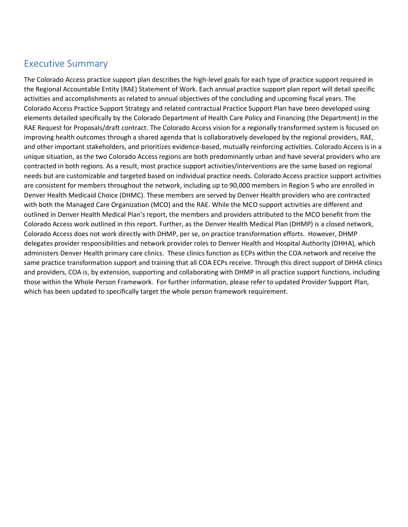# <span id="page-2-0"></span>Executive Summary

The Colorado Access practice support plan describes the high-level goals for each type of practice support required in the Regional Accountable Entity (RAE) Statement of Work. Each annual practice support plan report will detail specific activities and accomplishments as related to annual objectives of the concluding and upcoming fiscal years. The Colorado Access Practice Support Strategy and related contractual Practice Support Plan have been developed using elements detailed specifically by the Colorado Department of Health Care Policy and Financing (the Department) in the RAE Request for Proposals/draft contract. The Colorado Access vision for a regionally transformed system is focused on improving health outcomes through a shared agenda that is collaboratively developed by the regional providers, RAE, and other important stakeholders, and prioritizes evidence-based, mutually reinforcing activities. Colorado Access is in a unique situation, as the two Colorado Access regions are both predominantly urban and have several providers who are contracted in both regions. As a result, most practice support activities/interventions are the same based on regional needs but are customizable and targeted based on individual practice needs. Colorado Access practice support activities are consistent for members throughout the network, including up to 90,000 members in Region 5 who are enrolled in Denver Health Medicaid Choice (DHMC). These members are served by Denver Health providers who are contracted with both the Managed Care Organization (MCO) and the RAE. While the MCO support activities are different and outlined in Denver Health Medical Plan's report, the members and providers attributed to the MCO benefit from the Colorado Access work outlined in this report. Further, as the Denver Health Medical Plan (DHMP) is a closed network, Colorado Access does not work directly with DHMP, per se, on practice transformation efforts. However, DHMP delegates provider responsibilities and network provider roles to Denver Health and Hospital Authority (DHHA), which administers Denver Health primary care clinics. These clinics function as ECPs within the COA network and receive the same practice transformation support and training that all COA ECPs receive. Through this direct support of DHHA clinics and providers, COA is, by extension, supporting and collaborating with DHMP in all practice support functions, including those within the Whole Person Framework. For further information, please refer to updated Provider Support Plan, which has been updated to specifically target the whole person framework requirement.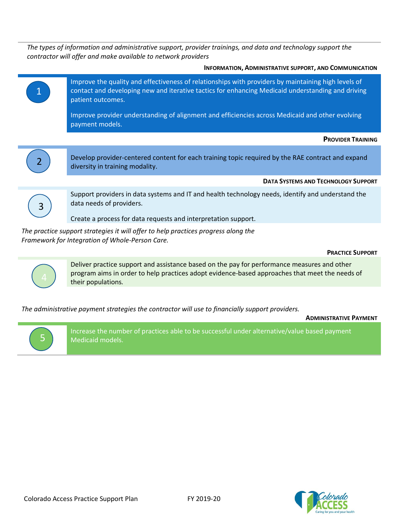*The types of information and administrative support, provider trainings, and data and technology support the contractor will offer and make available to network providers*





Deliver practice support and assistance based on the pay for performance measures and other program aims in order to help practices adopt evidence-based approaches that meet the needs of their populations*.*

*The administrative payment strategies the contractor will use to financially support providers.*

**ADMINISTRATIVE PAYMENT**



Increase the number of practices able to be successful under alternative/value based payment Medicaid models.

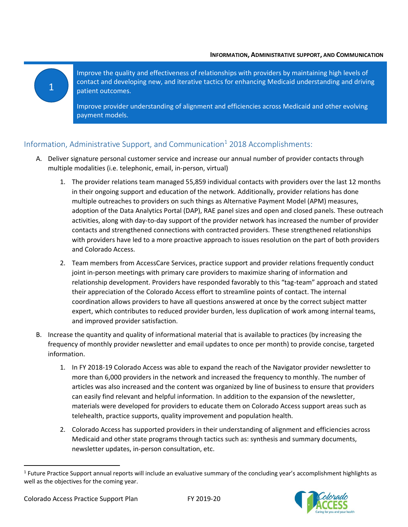#### • **INFORMATION, ADMINISTRATIVE SUPPORT, AND COMMUNICATION**

Improve the quality and effectiveness of relationships with providers by maintaining high levels of contact and developing new, and iterative tactics for enhancing Medicaid understanding and driving patient outcomes.

Improve provider understanding of alignment and efficiencies across Medicaid and other evolving payment models.

#### <span id="page-4-0"></span>Information, Administrative Support, and Communication<sup>1</sup> 2018 Accomplishments:

- A. Deliver signature personal customer service and increase our annual number of provider contacts through multiple modalities (i.e. telephonic, email, in-person, virtual)
	- 1. The provider relations team managed 55,859 individual contacts with providers over the last 12 months in their ongoing support and education of the network. Additionally, provider relations has done multiple outreaches to providers on such things as Alternative Payment Model (APM) measures, adoption of the Data Analytics Portal (DAP), RAE panel sizes and open and closed panels. These outreach activities, along with day-to-day support of the provider network has increased the number of provider contacts and strengthened connections with contracted providers. These strengthened relationships with providers have led to a more proactive approach to issues resolution on the part of both providers and Colorado Access.
	- 2. Team members from AccessCare Services, practice support and provider relations frequently conduct joint in-person meetings with primary care providers to maximize sharing of information and relationship development. Providers have responded favorably to this "tag-team" approach and stated their appreciation of the Colorado Access effort to streamline points of contact. The internal coordination allows providers to have all questions answered at once by the correct subject matter expert, which contributes to reduced provider burden, less duplication of work among internal teams, and improved provider satisfaction.
- B. Increase the quantity and quality of informational material that is available to practices (by increasing the frequency of monthly provider newsletter and email updates to once per month) to provide concise, targeted information.
	- 1. In FY 2018-19 Colorado Access was able to expand the reach of the Navigator provider newsletter to more than 6,000 providers in the network and increased the frequency to monthly. The number of articles was also increased and the content was organized by line of business to ensure that providers can easily find relevant and helpful information. In addition to the expansion of the newsletter, materials were developed for providers to educate them on Colorado Access support areas such as telehealth, practice supports, quality improvement and population health.
	- 2. Colorado Access has supported providers in their understanding of alignment and efficiencies across Medicaid and other state programs through tactics such as: synthesis and summary documents, newsletter updates, in-person consultation, etc.

<sup>&</sup>lt;sup>1</sup> Future Practice Support annual reports will include an evaluative summary of the concluding year's accomplishment highlights as well as the objectives for the coming year.



1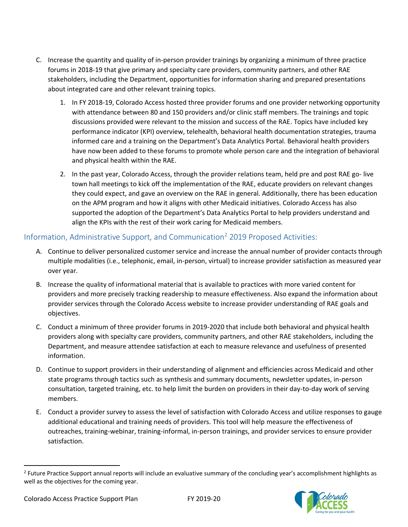- C. Increase the quantity and quality of in-person provider trainings by organizing a minimum of three practice forums in 2018-19 that give primary and specialty care providers, community partners, and other RAE stakeholders, including the Department, opportunities for information sharing and prepared presentations about integrated care and other relevant training topics.
	- 1. In FY 2018-19, Colorado Access hosted three provider forums and one provider networking opportunity with attendance between 80 and 150 providers and/or clinic staff members. The trainings and topic discussions provided were relevant to the mission and success of the RAE. Topics have included key performance indicator (KPI) overview, telehealth, behavioral health documentation strategies, trauma informed care and a training on the Department's Data Analytics Portal. Behavioral health providers have now been added to these forums to promote whole person care and the integration of behavioral and physical health within the RAE.
	- 2. In the past year, Colorado Access, through the provider relations team, held pre and post RAE go- live town hall meetings to kick off the implementation of the RAE, educate providers on relevant changes they could expect, and gave an overview on the RAE in general. Additionally, there has been education on the APM program and how it aligns with other Medicaid initiatives. Colorado Access has also supported the adoption of the Department's Data Analytics Portal to help providers understand and align the KPIs with the rest of their work caring for Medicaid members.

### <span id="page-5-0"></span>Information, Administrative Support, and Communication<sup>2</sup> 2019 Proposed Activities:

- A. Continue to deliver personalized customer service and increase the annual number of provider contacts through multiple modalities (i.e., telephonic, email, in-person, virtual) to increase provider satisfaction as measured year over year.
- B. Increase the quality of informational material that is available to practices with more varied content for providers and more precisely tracking readership to measure effectiveness. Also expand the information about provider services through the Colorado Access website to increase provider understanding of RAE goals and objectives.
- C. Conduct a minimum of three provider forums in 2019-2020 that include both behavioral and physical health providers along with specialty care providers, community partners, and other RAE stakeholders, including the Department, and measure attendee satisfaction at each to measure relevance and usefulness of presented information.
- D. Continue to support providers in their understanding of alignment and efficiencies across Medicaid and other state programs through tactics such as synthesis and summary documents, newsletter updates, in-person consultation, targeted training, etc. to help limit the burden on providers in their day-to-day work of serving members.
- E. Conduct a provider survey to assess the level of satisfaction with Colorado Access and utilize responses to gauge additional educational and training needs of providers. This tool will help measure the effectiveness of outreaches, training-webinar, training-informal, in-person trainings, and provider services to ensure provider satisfaction.

<sup>&</sup>lt;sup>2</sup> Future Practice Support annual reports will include an evaluative summary of the concluding year's accomplishment highlights as well as the objectives for the coming year.

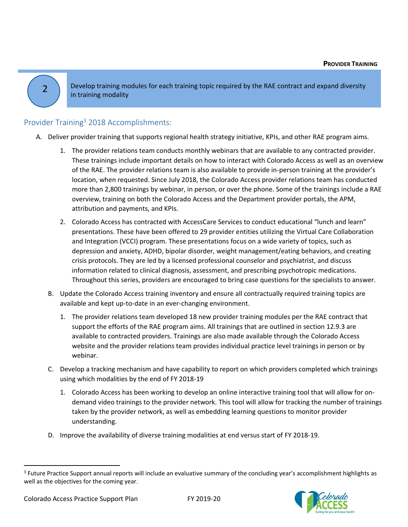2

Develop training modules for each training topic required by the RAE contract and expand diversity in training modality

## <span id="page-6-0"></span>Provider Training<sup>3</sup> 2018 Accomplishments:

- A. Deliver provider training that supports regional health strategy initiative, KPIs, and other RAE program aims.
	- 1. The provider relations team conducts monthly webinars that are available to any contracted provider. These trainings include important details on how to interact with Colorado Access as well as an overview of the RAE. The provider relations team is also available to provide in-person training at the provider's location, when requested. Since July 2018, the Colorado Access provider relations team has conducted more than 2,800 trainings by webinar, in person, or over the phone. Some of the trainings include a RAE overview, training on both the Colorado Access and the Department provider portals, the APM, attribution and payments, and KPIs.
	- 2. Colorado Access has contracted with AccessCare Services to conduct educational "lunch and learn" presentations. These have been offered to 29 provider entities utilizing the Virtual Care Collaboration and Integration (VCCI) program. These presentations focus on a wide variety of topics, such as depression and anxiety, ADHD, bipolar disorder, weight management/eating behaviors, and creating crisis protocols. They are led by a licensed professional counselor and psychiatrist, and discuss information related to clinical diagnosis, assessment, and prescribing psychotropic medications. Throughout this series, providers are encouraged to bring case questions for the specialists to answer.
	- B. Update the Colorado Access training inventory and ensure all contractually required training topics are available and kept up-to-date in an ever-changing environment.
		- 1. The provider relations team developed 18 new provider training modules per the RAE contract that support the efforts of the RAE program aims. All trainings that are outlined in section 12.9.3 are available to contracted providers. Trainings are also made available through the Colorado Access website and the provider relations team provides individual practice level trainings in person or by webinar.
	- C. Develop a tracking mechanism and have capability to report on which providers completed which trainings using which modalities by the end of FY 2018-19
		- 1. Colorado Access has been working to develop an online interactive training tool that will allow for ondemand video trainings to the provider network. This tool will allow for tracking the number of trainings taken by the provider network, as well as embedding learning questions to monitor provider understanding.
	- D. Improve the availability of diverse training modalities at end versus start of FY 2018-19.

<sup>&</sup>lt;sup>3</sup> Future Practice Support annual reports will include an evaluative summary of the concluding year's accomplishment highlights as well as the objectives for the coming year.

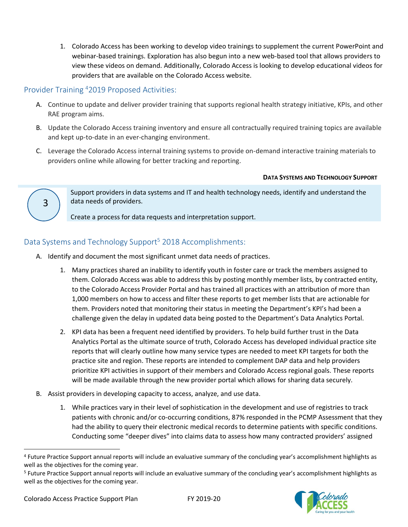1. Colorado Access has been working to develop video trainings to supplement the current PowerPoint and webinar-based trainings. Exploration has also begun into a new web-based tool that allows providers to view these videos on demand. Additionally, Colorado Access is looking to develop educational videos for providers that are available on the Colorado Access website.

#### <span id="page-7-0"></span>Provider Training <sup>4</sup>2019 Proposed Activities:

3

- A. Continue to update and deliver provider training that supports regional health strategy initiative, KPIs, and other RAE program aims.
- B. Update the Colorado Access training inventory and ensure all contractually required training topics are available and kept up-to-date in an ever-changing environment.
- C. Leverage the Colorado Access internal training systems to provide on-demand interactive training materials to providers online while allowing for better tracking and reporting.

#### **DATA SYSTEMS AND TECHNOLOGY SUPPORT**

Support providers in data systems and IT and health technology needs, identify and understand the data needs of providers.

Create a process for data requests and interpretation support.

### <span id="page-7-1"></span>Data Systems and Technology Support<sup>5</sup> 2018 Accomplishments:

- A. Identify and document the most significant unmet data needs of practices.
	- 1. Many practices shared an inability to identify youth in foster care or track the members assigned to them. Colorado Access was able to address this by posting monthly member lists, by contracted entity, to the Colorado Access Provider Portal and has trained all practices with an attribution of more than 1,000 members on how to access and filter these reports to get member lists that are actionable for them. Providers noted that monitoring their status in meeting the Department's KPI's had been a challenge given the delay in updated data being posted to the Department's Data Analytics Portal.
	- 2. KPI data has been a frequent need identified by providers. To help build further trust in the Data Analytics Portal as the ultimate source of truth, Colorado Access has developed individual practice site reports that will clearly outline how many service types are needed to meet KPI targets for both the practice site and region. These reports are intended to complement DAP data and help providers prioritize KPI activities in support of their members and Colorado Access regional goals. These reports will be made available through the new provider portal which allows for sharing data securely.
- B. Assist providers in developing capacity to access, analyze, and use data.
	- 1. While practices vary in their level of sophistication in the development and use of registries to track patients with chronic and/or co-occurring conditions, 87% responded in the PCMP Assessment that they had the ability to query their electronic medical records to determine patients with specific conditions. Conducting some "deeper dives" into claims data to assess how many contracted providers' assigned

<sup>&</sup>lt;sup>5</sup> Future Practice Support annual reports will include an evaluative summary of the concluding year's accomplishment highlights as well as the objectives for the coming year.



<sup>4</sup> Future Practice Support annual reports will include an evaluative summary of the concluding year's accomplishment highlights as well as the objectives for the coming year.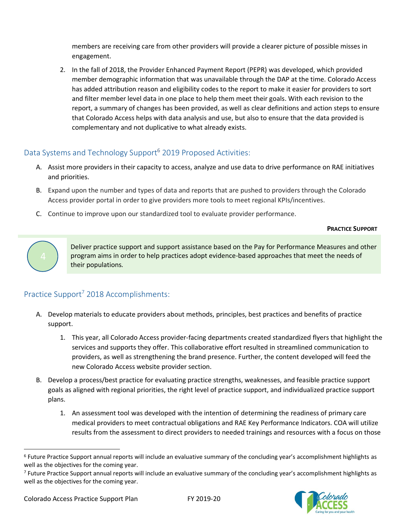members are receiving care from other providers will provide a clearer picture of possible misses in engagement.

2. In the fall of 2018, the Provider Enhanced Payment Report (PEPR) was developed, which provided member demographic information that was unavailable through the DAP at the time. Colorado Access has added attribution reason and eligibility codes to the report to make it easier for providers to sort and filter member level data in one place to help them meet their goals. With each revision to the report, a summary of changes has been provided, as well as clear definitions and action steps to ensure that Colorado Access helps with data analysis and use, but also to ensure that the data provided is complementary and not duplicative to what already exists.

## Data Systems and Technology Support<sup>6</sup> 2019 Proposed Activities:

- A. Assist more providers in their capacity to access, analyze and use data to drive performance on RAE initiatives and priorities.
- B. Expand upon the number and types of data and reports that are pushed to providers through the Colorado Access provider portal in order to give providers more tools to meet regional KPIs/incentives.
- C. Continue to improve upon our standardized tool to evaluate provider performance.

**PRACTICE SUPPORT**



Deliver practice support and support assistance based on the Pay for Performance Measures and other program aims in order to help practices adopt evidence-based approaches that meet the needs of their populations*.*

## <span id="page-8-0"></span>Practice Support<sup>7</sup> 2018 Accomplishments:

- A. Develop materials to educate providers about methods, principles, best practices and benefits of practice support.
	- 1. This year, all Colorado Access provider-facing departments created standardized flyers that highlight the services and supports they offer. This collaborative effort resulted in streamlined communication to providers, as well as strengthening the brand presence. Further, the content developed will feed the new Colorado Access website provider section.
- B. Develop a process/best practice for evaluating practice strengths, weaknesses, and feasible practice support goals as aligned with regional priorities, the right level of practice support, and individualized practice support plans.
	- 1. An assessment tool was developed with the intention of determining the readiness of primary care medical providers to meet contractual obligations and RAE Key Performance Indicators. COA will utilize results from the assessment to direct providers to needed trainings and resources with a focus on those

<sup>&</sup>lt;sup>7</sup> Future Practice Support annual reports will include an evaluative summary of the concluding year's accomplishment highlights as well as the objectives for the coming year.



<sup>&</sup>lt;sup>6</sup> Future Practice Support annual reports will include an evaluative summary of the concluding year's accomplishment highlights as well as the objectives for the coming year.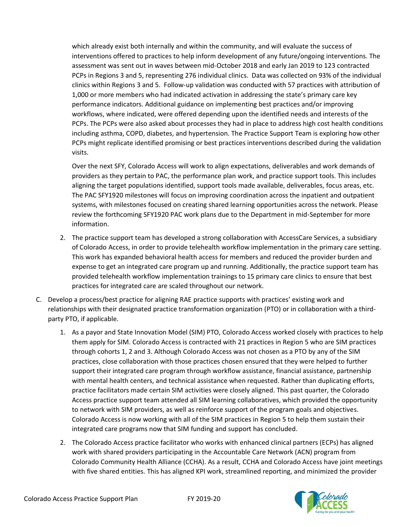which already exist both internally and within the community, and will evaluate the success of interventions offered to practices to help inform development of any future/ongoing interventions. The assessment was sent out in waves between mid-October 2018 and early Jan 2019 to 123 contracted PCPs in Regions 3 and 5, representing 276 individual clinics. Data was collected on 93% of the individual clinics within Regions 3 and 5. Follow-up validation was conducted with 57 practices with attribution of 1,000 or more members who had indicated activation in addressing the state's primary care key performance indicators. Additional guidance on implementing best practices and/or improving workflows, where indicated, were offered depending upon the identified needs and interests of the PCPs. The PCPs were also asked about processes they had in place to address high cost health conditions including asthma, COPD, diabetes, and hypertension. The Practice Support Team is exploring how other PCPs might replicate identified promising or best practices interventions described during the validation visits.

Over the next SFY, Colorado Access will work to align expectations, deliverables and work demands of providers as they pertain to PAC, the performance plan work, and practice support tools. This includes aligning the target populations identified, support tools made available, deliverables, focus areas, etc. The PAC SFY1920 milestones will focus on improving coordination across the inpatient and outpatient systems, with milestones focused on creating shared learning opportunities across the network. Please review the forthcoming SFY1920 PAC work plans due to the Department in mid-September for more information.

- 2. The practice support team has developed a strong collaboration with AccessCare Services, a subsidiary of Colorado Access, in order to provide telehealth workflow implementation in the primary care setting. This work has expanded behavioral health access for members and reduced the provider burden and expense to get an integrated care program up and running. Additionally, the practice support team has provided telehealth workflow implementation trainings to 15 primary care clinics to ensure that best practices for integrated care are scaled throughout our network.
- C. Develop a process/best practice for aligning RAE practice supports with practices' existing work and relationships with their designated practice transformation organization (PTO) or in collaboration with a thirdparty PTO, if applicable.
	- 1. As a payor and State Innovation Model (SIM) PTO, Colorado Access worked closely with practices to help them apply for SIM. Colorado Access is contracted with 21 practices in Region 5 who are SIM practices through cohorts 1, 2 and 3. Although Colorado Access was not chosen as a PTO by any of the SIM practices, close collaboration with those practices chosen ensured that they were helped to further support their integrated care program through workflow assistance, financial assistance, partnership with mental health centers, and technical assistance when requested. Rather than duplicating efforts, practice facilitators made certain SIM activities were closely aligned. This past quarter, the Colorado Access practice support team attended all SIM learning collaboratives, which provided the opportunity to network with SIM providers, as well as reinforce support of the program goals and objectives. Colorado Access is now working with all of the SIM practices in Region 5 to help them sustain their integrated care programs now that SIM funding and support has concluded.
	- 2. The Colorado Access practice facilitator who works with enhanced clinical partners (ECPs) has aligned work with shared providers participating in the Accountable Care Network (ACN) program from Colorado Community Health Alliance (CCHA). As a result, CCHA and Colorado Access have joint meetings with five shared entities. This has aligned KPI work, streamlined reporting, and minimized the provider

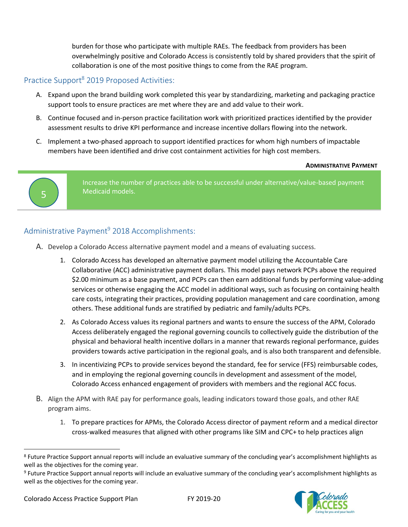burden for those who participate with multiple RAEs. The feedback from providers has been overwhelmingly positive and Colorado Access is consistently told by shared providers that the spirit of collaboration is one of the most positive things to come from the RAE program.

#### <span id="page-10-0"></span>Practice Support<sup>8</sup> 2019 Proposed Activities:

- A. Expand upon the brand building work completed this year by standardizing, marketing and packaging practice support tools to ensure practices are met where they are and add value to their work.
- B. Continue focused and in-person practice facilitation work with prioritized practices identified by the provider assessment results to drive KPI performance and increase incentive dollars flowing into the network.
- C. Implement a two-phased approach to support identified practices for whom high numbers of impactable members have been identified and drive cost containment activities for high cost members.

#### **ADMINISTRATIVE PAYMENT**



Increase the number of practices able to be successful under alternative/value-based payment Medicaid models.

#### <span id="page-10-1"></span>Administrative Payment<sup>9</sup> 2018 Accomplishments:

- A. Develop a Colorado Access alternative payment model and a means of evaluating success.
	- 1. Colorado Access has developed an alternative payment model utilizing the Accountable Care Collaborative (ACC) administrative payment dollars. This model pays network PCPs above the required \$2.00 minimum as a base payment, and PCPs can then earn additional funds by performing value-adding services or otherwise engaging the ACC model in additional ways, such as focusing on containing health care costs, integrating their practices, providing population management and care coordination, among others. These additional funds are stratified by pediatric and family/adults PCPs.
	- 2. As Colorado Access values its regional partners and wants to ensure the success of the APM, Colorado Access deliberately engaged the regional governing councils to collectively guide the distribution of the physical and behavioral health incentive dollars in a manner that rewards regional performance, guides providers towards active participation in the regional goals, and is also both transparent and defensible.
	- 3. In incentivizing PCPs to provide services beyond the standard, fee for service (FFS) reimbursable codes, and in employing the regional governing councils in development and assessment of the model, Colorado Access enhanced engagement of providers with members and the regional ACC focus.
- B. Align the APM with RAE pay for performance goals, leading indicators toward those goals, and other RAE program aims.
	- 1. To prepare practices for APMs, the Colorado Access director of payment reform and a medical director cross-walked measures that aligned with other programs like SIM and CPC+ to help practices align

<sup>&</sup>lt;sup>9</sup> Future Practice Support annual reports will include an evaluative summary of the concluding year's accomplishment highlights as well as the objectives for the coming year.



<sup>&</sup>lt;sup>8</sup> Future Practice Support annual reports will include an evaluative summary of the concluding year's accomplishment highlights as well as the objectives for the coming year.